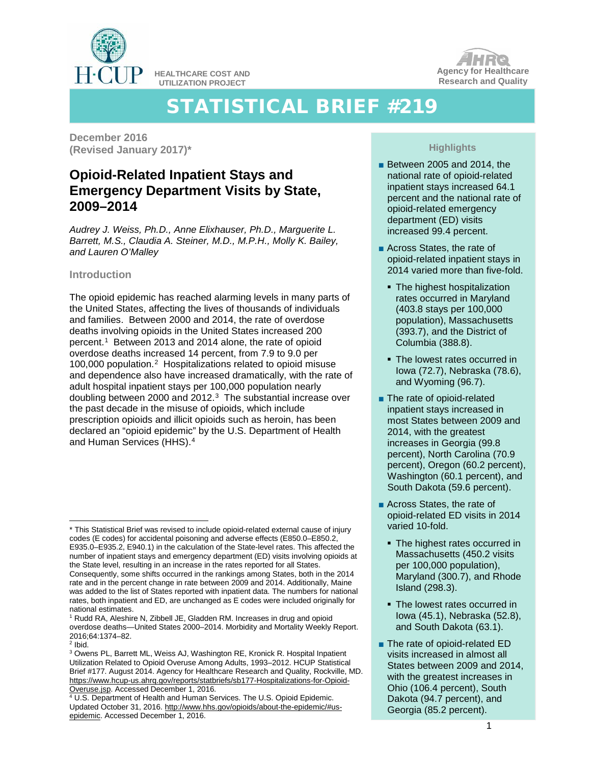

**HEALTHCARE COST AND UTILIZATION PROJECT**



# STATISTICAL BRIEF #219

**December 2016 (Revised January 2017)\***

# **Opioid-Related Inpatient Stays and Emergency Department Visits by State, 2009–2014**

*Audrey J. Weiss, Ph.D., Anne Elixhauser, Ph.D., Marguerite L. Barrett, M.S., Claudia A. Steiner, M.D., M.P.H., Molly K. Bailey, and Lauren O'Malley*

# **Introduction**

The opioid epidemic has reached alarming levels in many parts of the United States, affecting the lives of thousands of individuals and families. Between 2000 and 2014, the rate of overdose deaths involving opioids in the United States increased 200 percent.[1](#page-0-0) Between 2013 and 2014 alone, the rate of opioid overdose deaths increased 14 percent, from 7.9 to 9.0 per 100,000 population.[2](#page-0-1) Hospitalizations related to opioid misuse and dependence also have increased dramatically, with the rate of adult hospital inpatient stays per 100,000 population nearly doubling between 2000 and 2012.<sup>3</sup> The substantial increase over the past decade in the misuse of opioids, which include prescription opioids and illicit opioids such as heroin, has been declared an "opioid epidemic" by the U.S. Department of Health and Human Services (HHS).[4](#page-0-3)

national estimates. <sup>1</sup> Rudd RA, Aleshire N, Zibbell JE, Gladden RM. Increases in drug and opioid overdose deaths—United States 2000–2014. Morbidity and Mortality Weekly Report. 2016;64:1374–82.

# **Highlights**

- Between 2005 and 2014, the national rate of opioid-related inpatient stays increased 64.1 percent and the national rate of opioid-related emergency department (ED) visits increased 99.4 percent.
- Across States, the rate of opioid-related inpatient stays in 2014 varied more than five-fold.
	- The highest hospitalization rates occurred in Maryland (403.8 stays per 100,000 population), Massachusetts (393.7), and the District of Columbia (388.8).
	- The lowest rates occurred in Iowa (72.7), Nebraska (78.6), and Wyoming (96.7).
- The rate of opioid-related inpatient stays increased in most States between 2009 and 2014, with the greatest increases in Georgia (99.8 percent), North Carolina (70.9 percent), Oregon (60.2 percent), Washington (60.1 percent), and South Dakota (59.6 percent).
- Across States, the rate of opioid-related ED visits in 2014 varied 10-fold.
	- **The highest rates occurred in** Massachusetts (450.2 visits per 100,000 population), Maryland (300.7), and Rhode Island (298.3).
	- The lowest rates occurred in Iowa (45.1), Nebraska (52.8), and South Dakota (63.1).
- The rate of opioid-related ED visits increased in almost all States between 2009 and 2014, with the greatest increases in Ohio (106.4 percent), South Dakota (94.7 percent), and Georgia (85.2 percent).

<span id="page-0-0"></span> <sup>\*</sup> This Statistical Brief was revised to include opioid-related external cause of injury codes (E codes) for accidental poisoning and adverse effects (E850.0–E850.2, E935.0–E935.2, E940.1) in the calculation of the State-level rates. This affected the number of inpatient stays and emergency department (ED) visits involving opioids at the State level, resulting in an increase in the rates reported for all States. Consequently, some shifts occurred in the rankings among States, both in the 2014 rate and in the percent change in rate between 2009 and 2014. Additionally, Maine was added to the list of States reported with inpatient data. The numbers for national rates, both inpatient and ED, are unchanged as E codes were included originally for

<span id="page-0-1"></span> $2$  Ibid.

<span id="page-0-2"></span><sup>3</sup> Owens PL, Barrett ML, Weiss AJ, Washington RE, Kronick R. Hospital Inpatient Utilization Related to Opioid Overuse Among Adults, 1993–2012. HCUP Statistical Brief #177. August 2014. Agency for Healthcare Research and Quality, Rockville, MD. [https://www.hcup-us.ahrq.gov/reports/statbriefs/sb177-Hospitalizations-for-Opioid-](https://www.hcup-us.ahrq.gov/reports/statbriefs/sb177-Hospitalizations-for-Opioid-Overuse.jsp)[Overuse.jsp.](https://www.hcup-us.ahrq.gov/reports/statbriefs/sb177-Hospitalizations-for-Opioid-Overuse.jsp) Accessed December 1, 2016.

<span id="page-0-3"></span><sup>4</sup> U.S. Department of Health and Human Services. The U.S. Opioid Epidemic. Updated October 31, 2016[. http://www.hhs.gov/opioids/about-the-epidemic/#us](http://www.hhs.gov/opioids/about-the-epidemic/#us-epidemic)[epidemic.](http://www.hhs.gov/opioids/about-the-epidemic/#us-epidemic) Accessed December 1, 2016.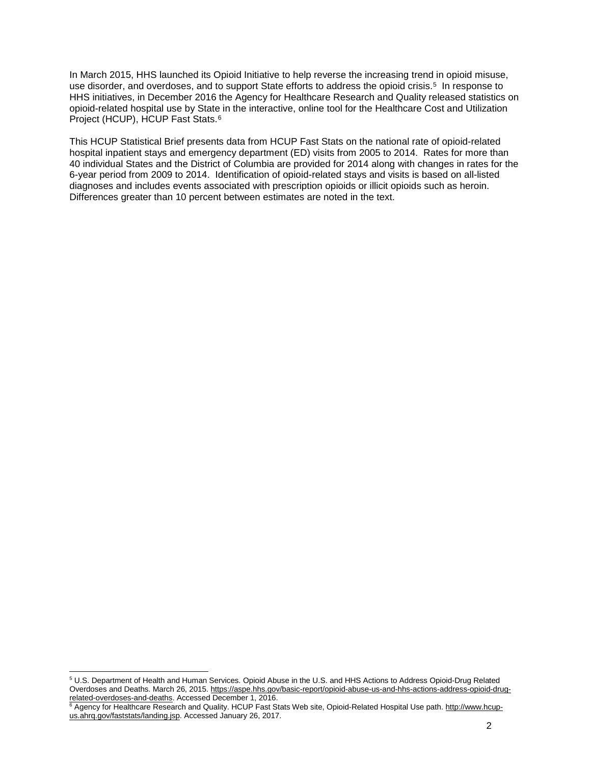In March 2015, HHS launched its Opioid Initiative to help reverse the increasing trend in opioid misuse, use disorder, and overdoses, and to support State efforts to address the opioid crisis.<sup>5</sup> In response to HHS initiatives, in December 2016 the Agency for Healthcare Research and Quality released statistics on opioid-related hospital use by State in the interactive, online tool for the Healthcare Cost and Utilization Project (HCUP), HCUP Fast Stats.[6](#page-1-1) 

This HCUP Statistical Brief presents data from HCUP Fast Stats on the national rate of opioid-related hospital inpatient stays and emergency department (ED) visits from 2005 to 2014. Rates for more than 40 individual States and the District of Columbia are provided for 2014 along with changes in rates for the 6-year period from 2009 to 2014. Identification of opioid-related stays and visits is based on all-listed diagnoses and includes events associated with prescription opioids or illicit opioids such as heroin. Differences greater than 10 percent between estimates are noted in the text.

<span id="page-1-0"></span> <sup>5</sup> U.S. Department of Health and Human Services. Opioid Abuse in the U.S. and HHS Actions to Address Opioid-Drug Related Overdoses and Deaths. March 26, 2015[. https://aspe.hhs.gov/basic-report/opioid-abuse-us-and-hhs-actions-address-opioid-drug](https://aspe.hhs.gov/basic-report/opioid-abuse-us-and-hhs-actions-address-opioid-drug-related-overdoses-and-deaths)[related-overdoses-and-deaths.](https://aspe.hhs.gov/basic-report/opioid-abuse-us-and-hhs-actions-address-opioid-drug-related-overdoses-and-deaths) Accessed December 1, 2016.

<span id="page-1-1"></span><sup>&</sup>lt;sup>6</sup> Agency for Healthcare Research and Quality. HCUP Fast Stats Web site, Opioid-Related Hospital Use path. <u>http://www.hcup-</u> [us.ahrq.gov/faststats/landing.jsp.](http://www.hcup-us.ahrq.gov/faststats/landing.jsp) Accessed January 26, 2017.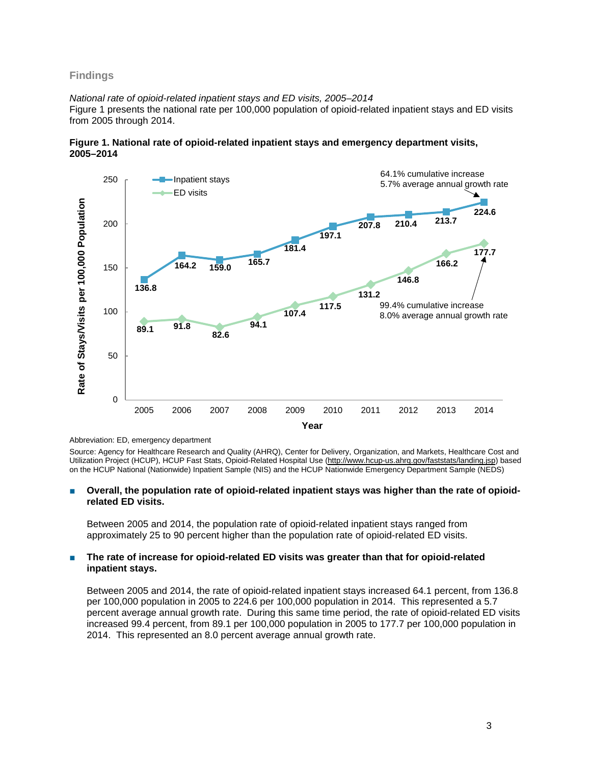# **Findings**

#### *National rate of opioid-related inpatient stays and ED visits, 2005–2014*

Figure 1 presents the national rate per 100,000 population of opioid-related inpatient stays and ED visits from 2005 through 2014.





#### Abbreviation: ED, emergency department

Source: Agency for Healthcare Research and Quality (AHRQ), Center for Delivery, Organization, and Markets, Healthcare Cost and Utilization Project (HCUP), HCUP Fast Stats, Opioid-Related Hospital Use [\(http://www.hcup-us.ahrq.gov/faststats/landing.jsp\)](http://www.hcup-us.ahrq.gov/faststats/landing.jsp) based on the HCUP National (Nationwide) Inpatient Sample (NIS) and the HCUP Nationwide Emergency Department Sample (NEDS)

#### **Overall, the population rate of opioid-related inpatient stays was higher than the rate of opioidrelated ED visits.**

Between 2005 and 2014, the population rate of opioid-related inpatient stays ranged from approximately 25 to 90 percent higher than the population rate of opioid-related ED visits.

#### ■ **The rate of increase for opioid-related ED visits was greater than that for opioid-related inpatient stays.**

Between 2005 and 2014, the rate of opioid-related inpatient stays increased 64.1 percent, from 136.8 per 100,000 population in 2005 to 224.6 per 100,000 population in 2014. This represented a 5.7 percent average annual growth rate. During this same time period, the rate of opioid-related ED visits increased 99.4 percent, from 89.1 per 100,000 population in 2005 to 177.7 per 100,000 population in 2014. This represented an 8.0 percent average annual growth rate.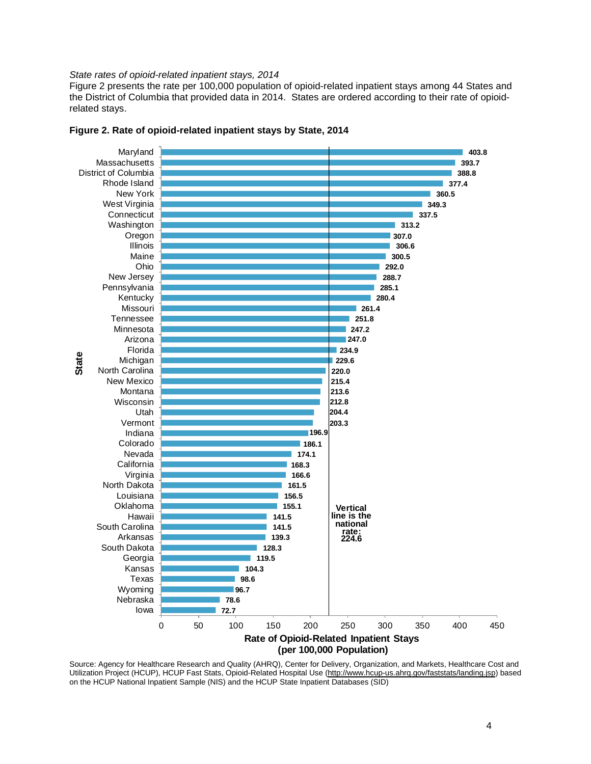#### *State rates of opioid-related inpatient stays, 2014*

Figure 2 presents the rate per 100,000 population of opioid-related inpatient stays among 44 States and the District of Columbia that provided data in 2014. States are ordered according to their rate of opioidrelated stays.





Source: Agency for Healthcare Research and Quality (AHRQ), Center for Delivery, Organization, and Markets, Healthcare Cost and Utilization Project (HCUP), HCUP Fast Stats, Opioid-Related Hospital Use [\(http://www.hcup-us.ahrq.gov/faststats/landing.jsp\)](http://www.hcup-us.ahrq.gov/faststats/landing.jsp) based on the HCUP National Inpatient Sample (NIS) and the HCUP State Inpatient Databases (SID)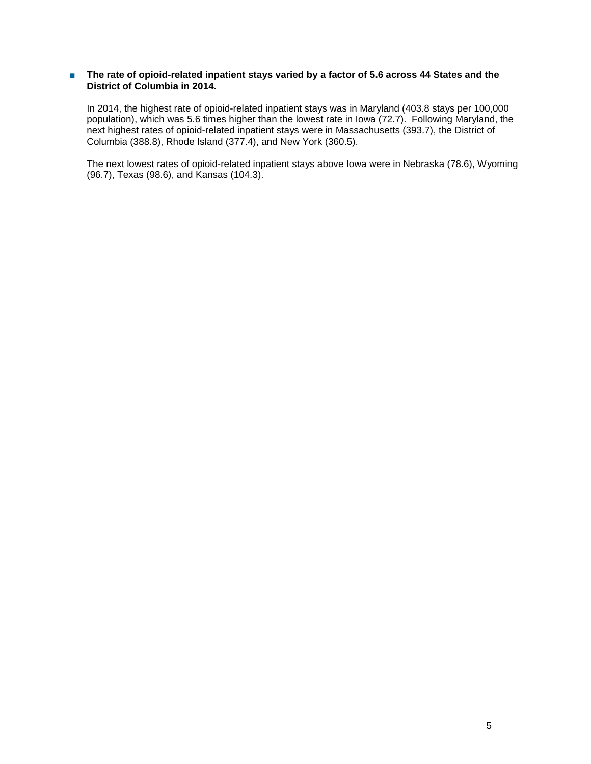# ■ **The rate of opioid-related inpatient stays varied by a factor of 5.6 across 44 States and the District of Columbia in 2014.**

In 2014, the highest rate of opioid-related inpatient stays was in Maryland (403.8 stays per 100,000 population), which was 5.6 times higher than the lowest rate in Iowa (72.7). Following Maryland, the next highest rates of opioid-related inpatient stays were in Massachusetts (393.7), the District of Columbia (388.8), Rhode Island (377.4), and New York (360.5).

The next lowest rates of opioid-related inpatient stays above Iowa were in Nebraska (78.6), Wyoming (96.7), Texas (98.6), and Kansas (104.3).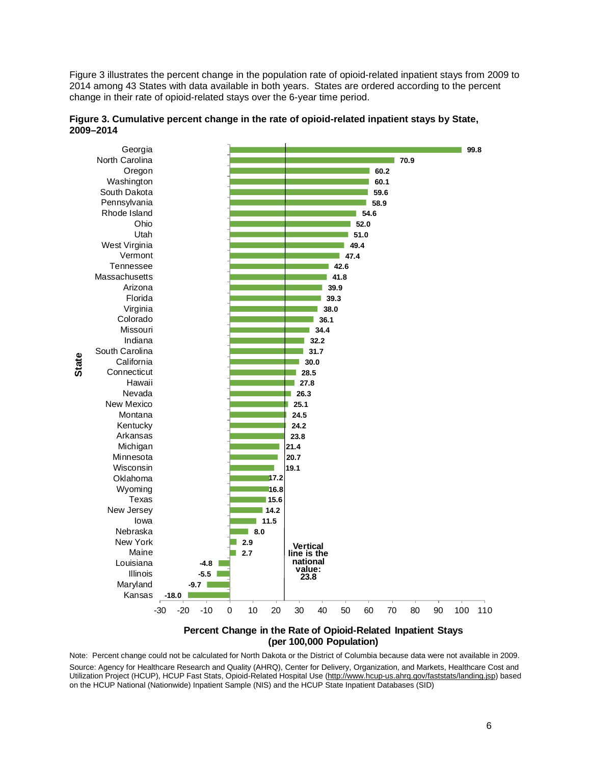Figure 3 illustrates the percent change in the population rate of opioid-related inpatient stays from 2009 to 2014 among 43 States with data available in both years. States are ordered according to the percent change in their rate of opioid-related stays over the 6-year time period.



**Figure 3. Cumulative percent change in the rate of opioid-related inpatient stays by State, 2009–2014**

**Percent Change in the Rate of Opioid-Related Inpatient Stays (per 100,000 Population)**

Note: Percent change could not be calculated for North Dakota or the District of Columbia because data were not available in 2009. Source: Agency for Healthcare Research and Quality (AHRQ), Center for Delivery, Organization, and Markets, Healthcare Cost and Utilization Project (HCUP), HCUP Fast Stats, Opioid-Related Hospital Use [\(http://www.hcup-us.ahrq.gov/faststats/landing.jsp\)](http://www.hcup-us.ahrq.gov/faststats/landing.jsp) based on the HCUP National (Nationwide) Inpatient Sample (NIS) and the HCUP State Inpatient Databases (SID)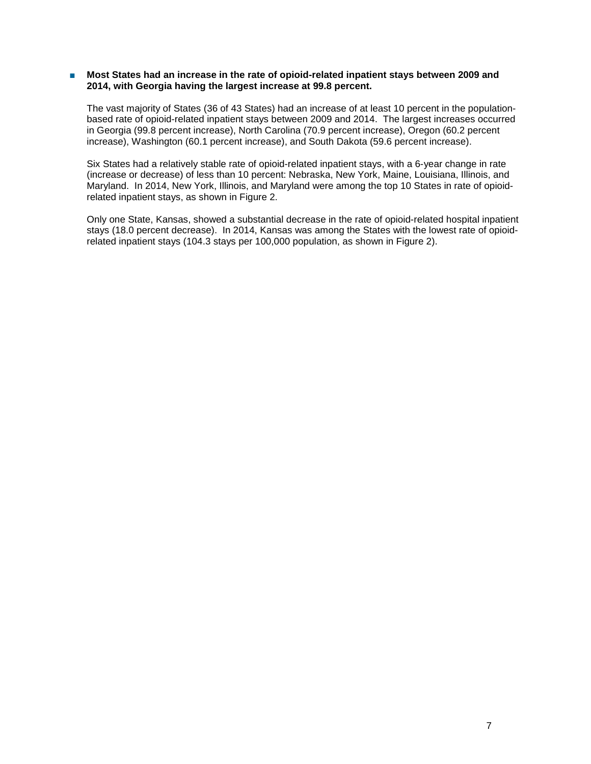#### ■ **Most States had an increase in the rate of opioid-related inpatient stays between 2009 and 2014, with Georgia having the largest increase at 99.8 percent.**

The vast majority of States (36 of 43 States) had an increase of at least 10 percent in the populationbased rate of opioid-related inpatient stays between 2009 and 2014. The largest increases occurred in Georgia (99.8 percent increase), North Carolina (70.9 percent increase), Oregon (60.2 percent increase), Washington (60.1 percent increase), and South Dakota (59.6 percent increase).

Six States had a relatively stable rate of opioid-related inpatient stays, with a 6-year change in rate (increase or decrease) of less than 10 percent: Nebraska, New York, Maine, Louisiana, Illinois, and Maryland. In 2014, New York, Illinois, and Maryland were among the top 10 States in rate of opioidrelated inpatient stays, as shown in Figure 2.

Only one State, Kansas, showed a substantial decrease in the rate of opioid-related hospital inpatient stays (18.0 percent decrease). In 2014, Kansas was among the States with the lowest rate of opioidrelated inpatient stays (104.3 stays per 100,000 population, as shown in Figure 2).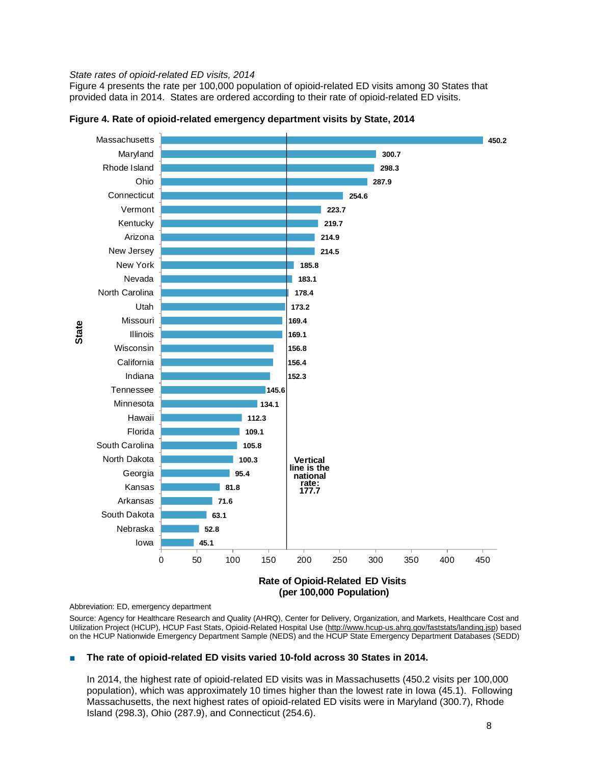#### *State rates of opioid-related ED visits, 2014*

Figure 4 presents the rate per 100,000 population of opioid-related ED visits among 30 States that provided data in 2014. States are ordered according to their rate of opioid-related ED visits.



**Figure 4. Rate of opioid-related emergency department visits by State, 2014**

Abbreviation: ED, emergency department

Source: Agency for Healthcare Research and Quality (AHRQ), Center for Delivery, Organization, and Markets, Healthcare Cost and Utilization Project (HCUP), HCUP Fast Stats, Opioid-Related Hospital Use [\(http://www.hcup-us.ahrq.gov/faststats/landing.jsp\)](http://www.hcup-us.ahrq.gov/faststats/landing.jsp) based on the HCUP Nationwide Emergency Department Sample (NEDS) and the HCUP State Emergency Department Databases (SEDD)

#### The rate of opioid-related ED visits varied 10-fold across 30 States in 2014.

In 2014, the highest rate of opioid-related ED visits was in Massachusetts (450.2 visits per 100,000 population), which was approximately 10 times higher than the lowest rate in Iowa (45.1). Following Massachusetts, the next highest rates of opioid-related ED visits were in Maryland (300.7), Rhode Island (298.3), Ohio (287.9), and Connecticut (254.6).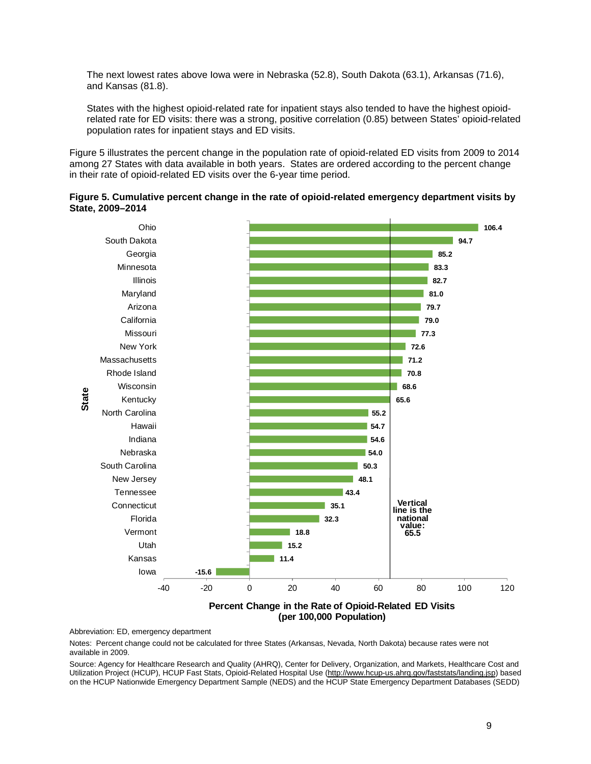The next lowest rates above Iowa were in Nebraska (52.8), South Dakota (63.1), Arkansas (71.6), and Kansas (81.8).

States with the highest opioid-related rate for inpatient stays also tended to have the highest opioidrelated rate for ED visits: there was a strong, positive correlation (0.85) between States' opioid-related population rates for inpatient stays and ED visits.

Figure 5 illustrates the percent change in the population rate of opioid-related ED visits from 2009 to 2014 among 27 States with data available in both years. States are ordered according to the percent change in their rate of opioid-related ED visits over the 6-year time period.





**(per 100,000 Population)**

Abbreviation: ED, emergency department

Notes: Percent change could not be calculated for three States (Arkansas, Nevada, North Dakota) because rates were not available in 2009.

Source: Agency for Healthcare Research and Quality (AHRQ), Center for Delivery, Organization, and Markets, Healthcare Cost and Utilization Project (HCUP), HCUP Fast Stats, Opioid-Related Hospital Use [\(http://www.hcup-us.ahrq.gov/faststats/landing.jsp\)](http://www.hcup-us.ahrq.gov/faststats/landing.jsp) based on the HCUP Nationwide Emergency Department Sample (NEDS) and the HCUP State Emergency Department Databases (SEDD)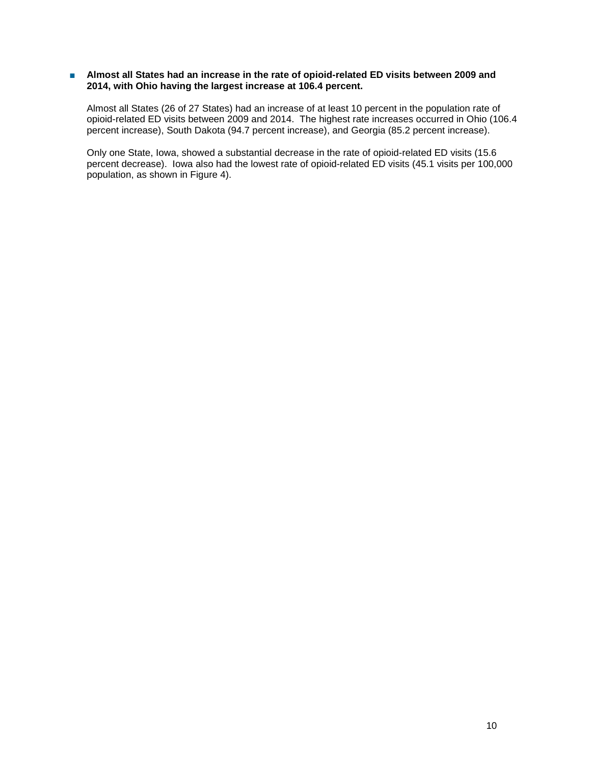# ■ Almost all States had an increase in the rate of opioid-related ED visits between 2009 and **2014, with Ohio having the largest increase at 106.4 percent.**

Almost all States (26 of 27 States) had an increase of at least 10 percent in the population rate of opioid-related ED visits between 2009 and 2014. The highest rate increases occurred in Ohio (106.4 percent increase), South Dakota (94.7 percent increase), and Georgia (85.2 percent increase).

Only one State, Iowa, showed a substantial decrease in the rate of opioid-related ED visits (15.6 percent decrease). Iowa also had the lowest rate of opioid-related ED visits (45.1 visits per 100,000 population, as shown in Figure 4).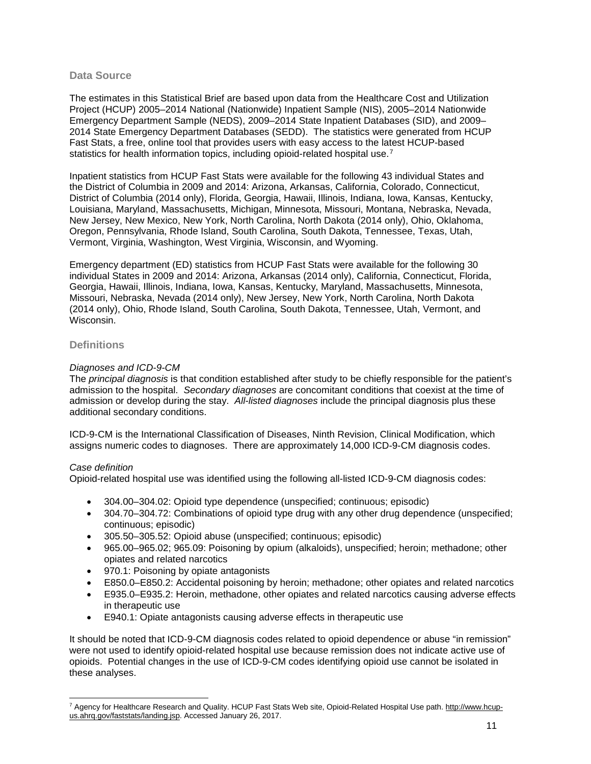# **Data Source**

The estimates in this Statistical Brief are based upon data from the Healthcare Cost and Utilization Project (HCUP) 2005–2014 National (Nationwide) Inpatient Sample (NIS), 2005–2014 Nationwide Emergency Department Sample (NEDS), 2009–2014 State Inpatient Databases (SID), and 2009– 2014 State Emergency Department Databases (SEDD). The statistics were generated from HCUP Fast Stats, a free, online tool that provides users with easy access to the latest HCUP-based statistics for health information topics, including opioid-related hospital use.<sup>[7](#page-10-0)</sup>

Inpatient statistics from HCUP Fast Stats were available for the following 43 individual States and the District of Columbia in 2009 and 2014: Arizona, Arkansas, California, Colorado, Connecticut, District of Columbia (2014 only), Florida, Georgia, Hawaii, Illinois, Indiana, Iowa, Kansas, Kentucky, Louisiana, Maryland, Massachusetts, Michigan, Minnesota, Missouri, Montana, Nebraska, Nevada, New Jersey, New Mexico, New York, North Carolina, North Dakota (2014 only), Ohio, Oklahoma, Oregon, Pennsylvania, Rhode Island, South Carolina, South Dakota, Tennessee, Texas, Utah, Vermont, Virginia, Washington, West Virginia, Wisconsin, and Wyoming.

Emergency department (ED) statistics from HCUP Fast Stats were available for the following 30 individual States in 2009 and 2014: Arizona, Arkansas (2014 only), California, Connecticut, Florida, Georgia, Hawaii, Illinois, Indiana, Iowa, Kansas, Kentucky, Maryland, Massachusetts, Minnesota, Missouri, Nebraska, Nevada (2014 only), New Jersey, New York, North Carolina, North Dakota (2014 only), Ohio, Rhode Island, South Carolina, South Dakota, Tennessee, Utah, Vermont, and Wisconsin.

# **Definitions**

# *Diagnoses and ICD-9-CM*

The *principal diagnosis* is that condition established after study to be chiefly responsible for the patient's admission to the hospital. *Secondary diagnoses* are concomitant conditions that coexist at the time of admission or develop during the stay. *All-listed diagnoses* include the principal diagnosis plus these additional secondary conditions.

ICD-9-CM is the International Classification of Diseases, Ninth Revision, Clinical Modification, which assigns numeric codes to diagnoses. There are approximately 14,000 ICD-9-CM diagnosis codes.

# *Case definition*

Opioid-related hospital use was identified using the following all-listed ICD-9-CM diagnosis codes:

- 304.00–304.02: Opioid type dependence (unspecified; continuous; episodic)
- 304.70–304.72: Combinations of opioid type drug with any other drug dependence (unspecified; continuous; episodic)
- 305.50–305.52: Opioid abuse (unspecified; continuous; episodic)
- 965.00–965.02; 965.09: Poisoning by opium (alkaloids), unspecified; heroin; methadone; other opiates and related narcotics
- 970.1: Poisoning by opiate antagonists
- E850.0–E850.2: Accidental poisoning by heroin; methadone; other opiates and related narcotics
- E935.0–E935.2: Heroin, methadone, other opiates and related narcotics causing adverse effects in therapeutic use
- E940.1: Opiate antagonists causing adverse effects in therapeutic use

It should be noted that ICD-9-CM diagnosis codes related to opioid dependence or abuse "in remission" were not used to identify opioid-related hospital use because remission does not indicate active use of opioids. Potential changes in the use of ICD-9-CM codes identifying opioid use cannot be isolated in these analyses.

<span id="page-10-0"></span> <sup>7</sup> Agency for Healthcare Research and Quality. HCUP Fast Stats Web site, Opioid-Related Hospital Use path. [http://www.hcup](http://www.hcup-us.ahrq.gov/faststats/landing.jsp)[us.ahrq.gov/faststats/landing.jsp.](http://www.hcup-us.ahrq.gov/faststats/landing.jsp) Accessed January 26, 2017.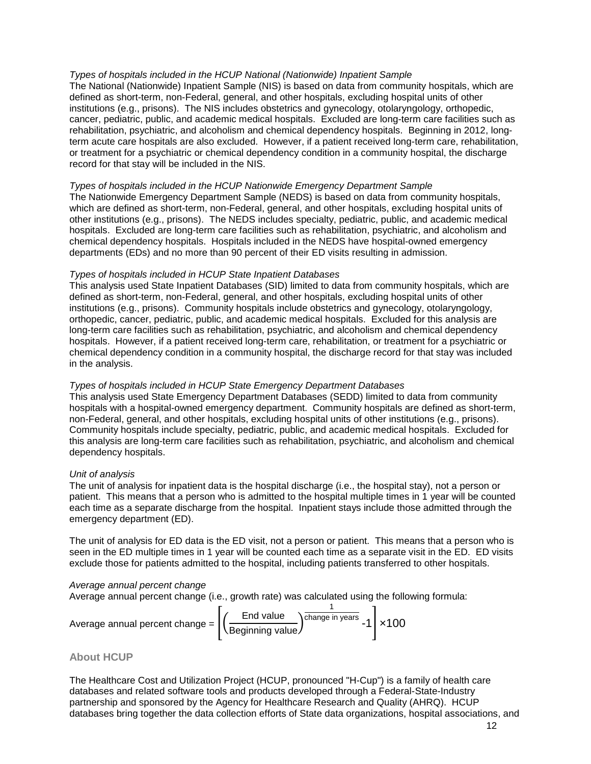# *Types of hospitals included in the HCUP National (Nationwide) Inpatient Sample*

The National (Nationwide) Inpatient Sample (NIS) is based on data from community hospitals, which are defined as short-term, non-Federal, general, and other hospitals, excluding hospital units of other institutions (e.g., prisons). The NIS includes obstetrics and gynecology, otolaryngology, orthopedic, cancer, pediatric, public, and academic medical hospitals. Excluded are long-term care facilities such as rehabilitation, psychiatric, and alcoholism and chemical dependency hospitals. Beginning in 2012, longterm acute care hospitals are also excluded. However, if a patient received long-term care, rehabilitation, or treatment for a psychiatric or chemical dependency condition in a community hospital, the discharge record for that stay will be included in the NIS.

# *Types of hospitals included in the HCUP Nationwide Emergency Department Sample*

The Nationwide Emergency Department Sample (NEDS) is based on data from community hospitals, which are defined as short-term, non-Federal, general, and other hospitals, excluding hospital units of other institutions (e.g., prisons). The NEDS includes specialty, pediatric, public, and academic medical hospitals. Excluded are long-term care facilities such as rehabilitation, psychiatric, and alcoholism and chemical dependency hospitals. Hospitals included in the NEDS have hospital-owned emergency departments (EDs) and no more than 90 percent of their ED visits resulting in admission.

# *Types of hospitals included in HCUP State Inpatient Databases*

This analysis used State Inpatient Databases (SID) limited to data from community hospitals, which are defined as short-term, non-Federal, general, and other hospitals, excluding hospital units of other institutions (e.g., prisons). Community hospitals include obstetrics and gynecology, otolaryngology, orthopedic, cancer, pediatric, public, and academic medical hospitals. Excluded for this analysis are long-term care facilities such as rehabilitation, psychiatric, and alcoholism and chemical dependency hospitals. However, if a patient received long-term care, rehabilitation, or treatment for a psychiatric or chemical dependency condition in a community hospital, the discharge record for that stay was included in the analysis.

# *Types of hospitals included in HCUP State Emergency Department Databases*

This analysis used State Emergency Department Databases (SEDD) limited to data from community hospitals with a hospital-owned emergency department. Community hospitals are defined as short-term, non-Federal, general, and other hospitals, excluding hospital units of other institutions (e.g., prisons). Community hospitals include specialty, pediatric, public, and academic medical hospitals. Excluded for this analysis are long-term care facilities such as rehabilitation, psychiatric, and alcoholism and chemical dependency hospitals.

# *Unit of analysis*

The unit of analysis for inpatient data is the hospital discharge (i.e., the hospital stay), not a person or patient. This means that a person who is admitted to the hospital multiple times in 1 year will be counted each time as a separate discharge from the hospital. Inpatient stays include those admitted through the emergency department (ED).

The unit of analysis for ED data is the ED visit, not a person or patient. This means that a person who is seen in the ED multiple times in 1 year will be counted each time as a separate visit in the ED. ED visits exclude those for patients admitted to the hospital, including patients transferred to other hospitals.

# *Average annual percent change*

Average annual percent change (i.e., growth rate) was calculated using the following formula:

Average annual percent change = 
$$
\left[ \left( \frac{\text{End value}}{\text{Beginning value}} \right)^{\frac{1}{\text{change in years}}} -1 \right] \times 100
$$

# **About HCUP**

The Healthcare Cost and Utilization Project (HCUP, pronounced "H-Cup") is a family of health care databases and related software tools and products developed through a Federal-State-Industry partnership and sponsored by the Agency for Healthcare Research and Quality (AHRQ). HCUP databases bring together the data collection efforts of State data organizations, hospital associations, and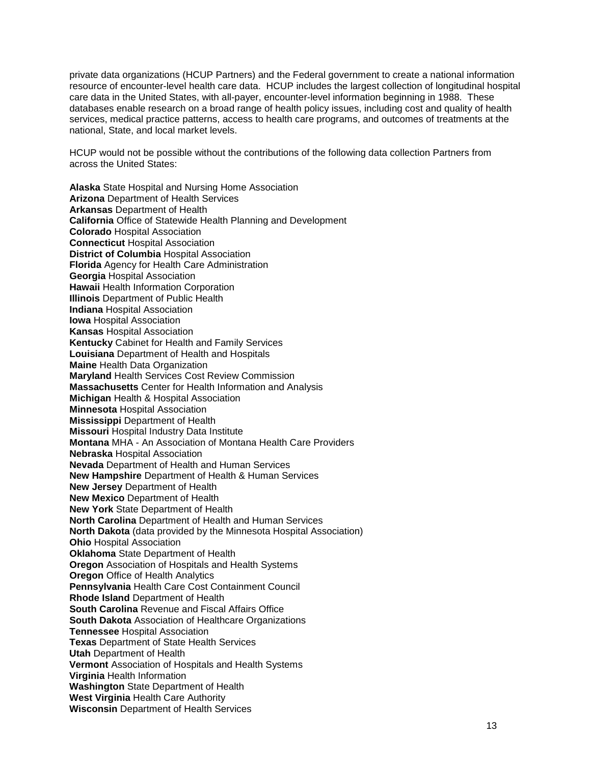private data organizations (HCUP Partners) and the Federal government to create a national information resource of encounter-level health care data. HCUP includes the largest collection of longitudinal hospital care data in the United States, with all-payer, encounter-level information beginning in 1988. These databases enable research on a broad range of health policy issues, including cost and quality of health services, medical practice patterns, access to health care programs, and outcomes of treatments at the national, State, and local market levels.

HCUP would not be possible without the contributions of the following data collection Partners from across the United States:

**Alaska** State Hospital and Nursing Home Association **Arizona** Department of Health Services **Arkansas** Department of Health **California** Office of Statewide Health Planning and Development **Colorado** Hospital Association **Connecticut** Hospital Association **District of Columbia** Hospital Association **Florida** Agency for Health Care Administration **Georgia** Hospital Association **Hawaii** Health Information Corporation **Illinois** Department of Public Health **Indiana** Hospital Association **Iowa** Hospital Association **Kansas** Hospital Association **Kentucky** Cabinet for Health and Family Services **Louisiana** Department of Health and Hospitals **Maine** Health Data Organization **Maryland** Health Services Cost Review Commission **Massachusetts** Center for Health Information and Analysis **Michigan** Health & Hospital Association **Minnesota** Hospital Association **Mississippi** Department of Health **Missouri** Hospital Industry Data Institute **Montana** MHA - An Association of Montana Health Care Providers **Nebraska** Hospital Association **Nevada** Department of Health and Human Services **New Hampshire** Department of Health & Human Services **New Jersey** Department of Health **New Mexico** Department of Health **New York** State Department of Health **North Carolina** Department of Health and Human Services **North Dakota** (data provided by the Minnesota Hospital Association) **Ohio** Hospital Association **Oklahoma** State Department of Health **Oregon** Association of Hospitals and Health Systems **Oregon** Office of Health Analytics **Pennsylvania** Health Care Cost Containment Council **Rhode Island** Department of Health **South Carolina** Revenue and Fiscal Affairs Office **South Dakota** Association of Healthcare Organizations **Tennessee** Hospital Association **Texas** Department of State Health Services **Utah** Department of Health **Vermont** Association of Hospitals and Health Systems **Virginia** Health Information **Washington** State Department of Health **West Virginia** Health Care Authority **Wisconsin** Department of Health Services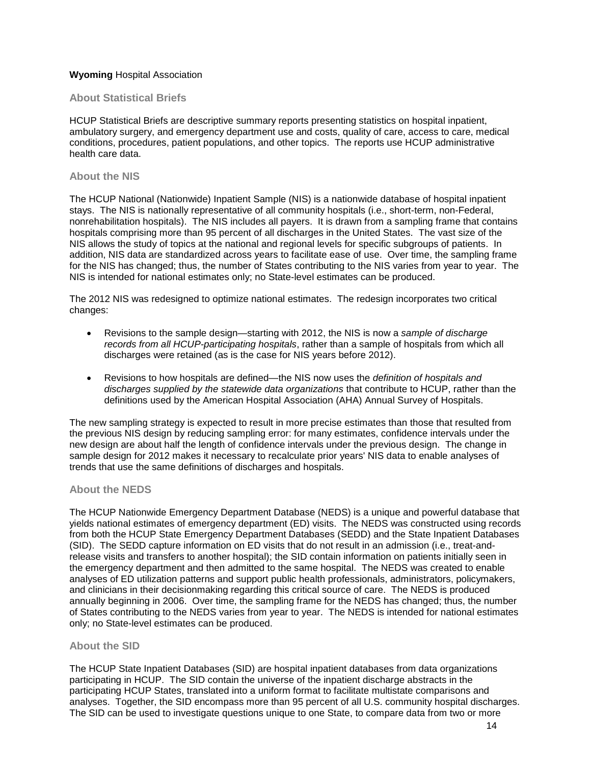# **Wyoming** Hospital Association

# **About Statistical Briefs**

HCUP Statistical Briefs are descriptive summary reports presenting statistics on hospital inpatient, ambulatory surgery, and emergency department use and costs, quality of care, access to care, medical conditions, procedures, patient populations, and other topics. The reports use HCUP administrative health care data.

#### **About the NIS**

The HCUP National (Nationwide) Inpatient Sample (NIS) is a nationwide database of hospital inpatient stays. The NIS is nationally representative of all community hospitals (i.e., short-term, non-Federal, nonrehabilitation hospitals). The NIS includes all payers. It is drawn from a sampling frame that contains hospitals comprising more than 95 percent of all discharges in the United States. The vast size of the NIS allows the study of topics at the national and regional levels for specific subgroups of patients. In addition, NIS data are standardized across years to facilitate ease of use. Over time, the sampling frame for the NIS has changed; thus, the number of States contributing to the NIS varies from year to year. The NIS is intended for national estimates only; no State-level estimates can be produced.

The 2012 NIS was redesigned to optimize national estimates. The redesign incorporates two critical changes:

- Revisions to the sample design—starting with 2012, the NIS is now a *sample of discharge records from all HCUP-participating hospitals*, rather than a sample of hospitals from which all discharges were retained (as is the case for NIS years before 2012).
- Revisions to how hospitals are defined—the NIS now uses the *definition of hospitals and discharges supplied by the statewide data organizations* that contribute to HCUP, rather than the definitions used by the American Hospital Association (AHA) Annual Survey of Hospitals.

The new sampling strategy is expected to result in more precise estimates than those that resulted from the previous NIS design by reducing sampling error: for many estimates, confidence intervals under the new design are about half the length of confidence intervals under the previous design. The change in sample design for 2012 makes it necessary to recalculate prior years' NIS data to enable analyses of trends that use the same definitions of discharges and hospitals.

# **About the NEDS**

The HCUP Nationwide Emergency Department Database (NEDS) is a unique and powerful database that yields national estimates of emergency department (ED) visits. The NEDS was constructed using records from both the HCUP State Emergency Department Databases (SEDD) and the State Inpatient Databases (SID). The SEDD capture information on ED visits that do not result in an admission (i.e., treat-andrelease visits and transfers to another hospital); the SID contain information on patients initially seen in the emergency department and then admitted to the same hospital. The NEDS was created to enable analyses of ED utilization patterns and support public health professionals, administrators, policymakers, and clinicians in their decisionmaking regarding this critical source of care. The NEDS is produced annually beginning in 2006. Over time, the sampling frame for the NEDS has changed; thus, the number of States contributing to the NEDS varies from year to year. The NEDS is intended for national estimates only; no State-level estimates can be produced.

# **About the SID**

The HCUP State Inpatient Databases (SID) are hospital inpatient databases from data organizations participating in HCUP. The SID contain the universe of the inpatient discharge abstracts in the participating HCUP States, translated into a uniform format to facilitate multistate comparisons and analyses. Together, the SID encompass more than 95 percent of all U.S. community hospital discharges. The SID can be used to investigate questions unique to one State, to compare data from two or more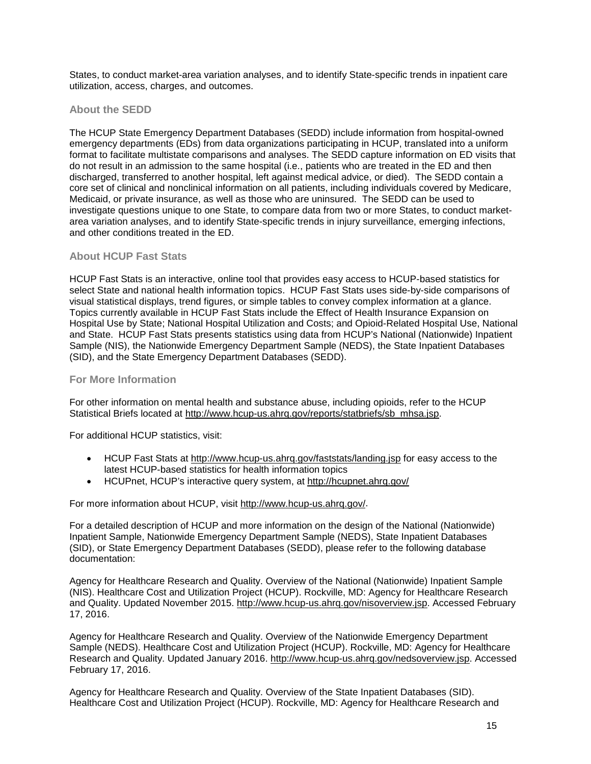States, to conduct market-area variation analyses, and to identify State-specific trends in inpatient care utilization, access, charges, and outcomes.

# **About the SEDD**

The HCUP State Emergency Department Databases (SEDD) include information from hospital-owned emergency departments (EDs) from data organizations participating in HCUP, translated into a uniform format to facilitate multistate comparisons and analyses. The SEDD capture information on ED visits that do not result in an admission to the same hospital (i.e., patients who are treated in the ED and then discharged, transferred to another hospital, left against medical advice, or died). The SEDD contain a core set of clinical and nonclinical information on all patients, including individuals covered by Medicare, Medicaid, or private insurance, as well as those who are uninsured. The SEDD can be used to investigate questions unique to one State, to compare data from two or more States, to conduct marketarea variation analyses, and to identify State-specific trends in injury surveillance, emerging infections, and other conditions treated in the ED.

# **About HCUP Fast Stats**

HCUP Fast Stats is an interactive, online tool that provides easy access to HCUP-based statistics for select State and national health information topics. HCUP Fast Stats uses side-by-side comparisons of visual statistical displays, trend figures, or simple tables to convey complex information at a glance. Topics currently available in HCUP Fast Stats include the Effect of Health Insurance Expansion on Hospital Use by State; National Hospital Utilization and Costs; and Opioid-Related Hospital Use, National and State. HCUP Fast Stats presents statistics using data from HCUP's National (Nationwide) Inpatient Sample (NIS), the Nationwide Emergency Department Sample (NEDS), the State Inpatient Databases (SID), and the State Emergency Department Databases (SEDD).

# **For More Information**

For other information on mental health and substance abuse, including opioids, refer to the HCUP Statistical Briefs located at [http://www.hcup-us.ahrq.gov/reports/statbriefs/sb\\_mhsa.jsp.](http://www.hcup-us.ahrq.gov/reports/statbriefs/sb_mhsa.jsp)

For additional HCUP statistics, visit:

- HCUP Fast Stats at http://www.hcup-us.ahrg.gov/faststats/landing.jsp for easy access to the latest HCUP-based statistics for health information topics
- HCUPnet, HCUP's interactive query system, at <http://hcupnet.ahrq.gov/>

For more information about HCUP, visit [http://www.hcup-us.ahrq.gov/.](http://www.hcup-us.ahrq.gov/)

For a detailed description of HCUP and more information on the design of the National (Nationwide) Inpatient Sample, Nationwide Emergency Department Sample (NEDS), State Inpatient Databases (SID), or State Emergency Department Databases (SEDD), please refer to the following database documentation:

Agency for Healthcare Research and Quality. Overview of the National (Nationwide) Inpatient Sample (NIS). Healthcare Cost and Utilization Project (HCUP). Rockville, MD: Agency for Healthcare Research and Quality. Updated November 2015. [http://www.hcup-us.ahrq.gov/nisoverview.jsp.](http://www.hcup-us.ahrq.gov/nisoverview.jsp) Accessed February 17, 2016.

Agency for Healthcare Research and Quality. Overview of the Nationwide Emergency Department Sample (NEDS). Healthcare Cost and Utilization Project (HCUP). Rockville, MD: Agency for Healthcare Research and Quality. Updated January 2016. [http://www.hcup-us.ahrq.gov/nedsoverview.jsp.](http://www.hcup-us.ahrq.gov/nedsoverview.jsp) Accessed February 17, 2016.

Agency for Healthcare Research and Quality. Overview of the State Inpatient Databases (SID). Healthcare Cost and Utilization Project (HCUP). Rockville, MD: Agency for Healthcare Research and